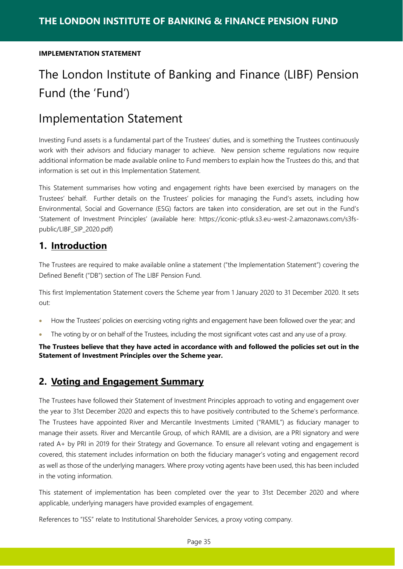# The London Institute of Banking and Finance (LIBF) Pension Fund (the 'Fund')

## Implementation Statement

Investing Fund assets is a fundamental part of the Trustees' duties, and is something the Trustees continuously work with their advisors and fiduciary manager to achieve. New pension scheme regulations now require additional information be made available online to Fund members to explain how the Trustees do this, and that information is set out in this Implementation Statement.

This Statement summarises how voting and engagement rights have been exercised by managers on the Trustees' behalf. Further details on the Trustees' policies for managing the Fund's assets, including how Environmental, Social and Governance (ESG) factors are taken into consideration, are set out in the Fund's 'Statement of Investment Principles' (available here: https://iconic-ptluk.s3.eu-west-2.amazonaws.com/s3fspublic/LIBF\_SIP\_2020.pdf)

## **1. Introduction**

The Trustees are required to make available online a statement ("the Implementation Statement") covering the Defined Benefit ("DB") section of The LIBF Pension Fund.

This first Implementation Statement covers the Scheme year from 1 January 2020 to 31 December 2020. It sets out:

- How the Trustees' policies on exercising voting rights and engagement have been followed over the year; and
- The voting by or on behalf of the Trustees, including the most significant votes cast and any use of a proxy.

**The Trustees believe that they have acted in accordance with and followed the policies set out in the Statement of Investment Principles over the Scheme year.** 

## **2. Voting and Engagement Summary**

The Trustees have followed their Statement of Investment Principles approach to voting and engagement over the year to 31st December 2020 and expects this to have positively contributed to the Scheme's performance. The Trustees have appointed River and Mercantile Investments Limited ("RAMIL") as fiduciary manager to manage their assets. River and Mercantile Group, of which RAMIL are a division, are a PRI signatory and were rated A+ by PRI in 2019 for their Strategy and Governance. To ensure all relevant voting and engagement is covered, this statement includes information on both the fiduciary manager's voting and engagement record as well as those of the underlying managers. Where proxy voting agents have been used, this has been included in the voting information.

This statement of implementation has been completed over the year to 31st December 2020 and where applicable, underlying managers have provided examples of engagement.

References to "ISS" relate to Institutional Shareholder Services, a proxy voting company.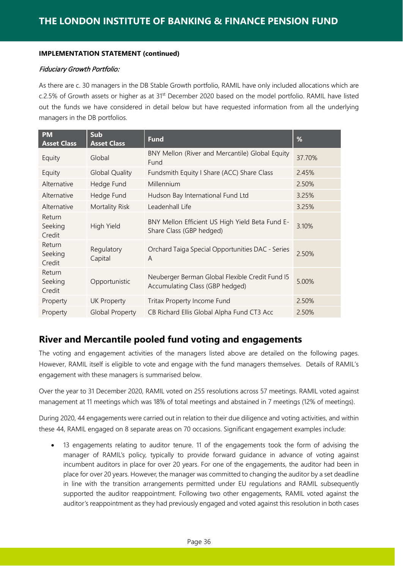#### Fiduciary Growth Portfolio:

As there are c. 30 managers in the DB Stable Growth portfolio, RAMIL have only included allocations which are c.2.5% of Growth assets or higher as at 31<sup>st</sup> December 2020 based on the model portfolio. RAMIL have listed out the funds we have considered in detail below but have requested information from all the underlying managers in the DB portfolios.

| <b>PM</b><br><b>Asset Class</b> | Sub<br><b>Asset Class</b> | <b>Fund</b>                                                                        | %      |
|---------------------------------|---------------------------|------------------------------------------------------------------------------------|--------|
| Equity                          | Global                    | BNY Mellon (River and Mercantile) Global Equity<br>Fund                            | 37.70% |
| Equity                          | <b>Global Quality</b>     | Fundsmith Equity I Share (ACC) Share Class                                         | 2.45%  |
| Alternative                     | Hedge Fund                | Millennium                                                                         | 2.50%  |
| Alternative                     | Hedge Fund                | Hudson Bay International Fund Ltd                                                  | 3.25%  |
| Alternative                     | Mortality Risk            | Leadenhall Life                                                                    | 3.25%  |
| Return<br>Seeking<br>Credit     | High Yield                | BNY Mellon Efficient US High Yield Beta Fund E-<br>Share Class (GBP hedged)        | 3.10%  |
| Return<br>Seeking<br>Credit     | Regulatory<br>Capital     | Orchard Taiga Special Opportunities DAC - Series<br>A                              | 2.50%  |
| Return<br>Seeking<br>Credit     | Opportunistic             | Neuberger Berman Global Flexible Credit Fund I5<br>Accumulating Class (GBP hedged) | 5.00%  |
| Property                        | <b>UK Property</b>        | Tritax Property Income Fund                                                        | 2.50%  |
| Property                        | <b>Global Property</b>    | CB Richard Ellis Global Alpha Fund CT3 Acc                                         | 2.50%  |

## **River and Mercantile pooled fund voting and engagements**

The voting and engagement activities of the managers listed above are detailed on the following pages. However, RAMIL itself is eligible to vote and engage with the fund managers themselves. Details of RAMIL's engagement with these managers is summarised below.

Over the year to 31 December 2020, RAMIL voted on 255 resolutions across 57 meetings. RAMIL voted against management at 11 meetings which was 18% of total meetings and abstained in 7 meetings (12% of meetings).

During 2020, 44 engagements were carried out in relation to their due diligence and voting activities, and within these 44, RAMIL engaged on 8 separate areas on 70 occasions. Significant engagement examples include:

• 13 engagements relating to auditor tenure. 11 of the engagements took the form of advising the manager of RAMIL's policy, typically to provide forward guidance in advance of voting against incumbent auditors in place for over 20 years. For one of the engagements, the auditor had been in place for over 20 years. However, the manager was committed to changing the auditor by a set deadline in line with the transition arrangements permitted under EU regulations and RAMIL subsequently supported the auditor reappointment. Following two other engagements, RAMIL voted against the auditor's reappointment as they had previously engaged and voted against this resolution in both cases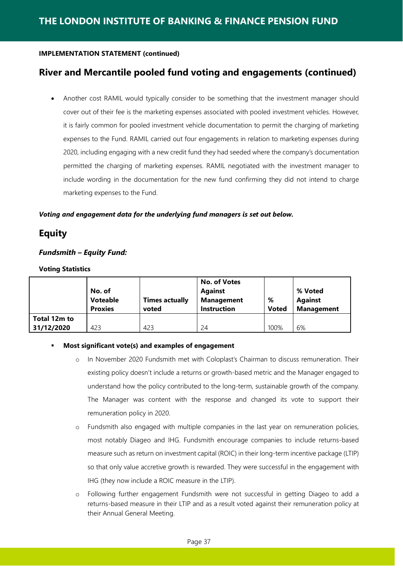## **River and Mercantile pooled fund voting and engagements (continued)**

• Another cost RAMIL would typically consider to be something that the investment manager should cover out of their fee is the marketing expenses associated with pooled investment vehicles. However, it is fairly common for pooled investment vehicle documentation to permit the charging of marketing expenses to the Fund. RAMIL carried out four engagements in relation to marketing expenses during 2020, including engaging with a new credit fund they had seeded where the company's documentation permitted the charging of marketing expenses. RAMIL negotiated with the investment manager to include wording in the documentation for the new fund confirming they did not intend to charge marketing expenses to the Fund.

#### *Voting and engagement data for the underlying fund managers is set out below.*

## **Equity**

#### *Fundsmith – Equity Fund:*

#### **Voting Statistics**

|              | No. of<br><b>Voteable</b> | <b>Times actually</b> | <b>No. of Votes</b><br><b>Against</b><br><b>Management</b> | %            | % Voted<br><b>Against</b> |
|--------------|---------------------------|-----------------------|------------------------------------------------------------|--------------|---------------------------|
|              | <b>Proxies</b>            | voted                 | <b>Instruction</b>                                         | <b>Voted</b> | <b>Management</b>         |
| Total 12m to |                           |                       |                                                            |              |                           |
| 31/12/2020   | 423                       | 423                   | 24                                                         | 100%         | 6%                        |

#### **Most significant vote(s) and examples of engagement**

- o In November 2020 Fundsmith met with Coloplast's Chairman to discuss remuneration. Their existing policy doesn't include a returns or growth-based metric and the Manager engaged to understand how the policy contributed to the long-term, sustainable growth of the company. The Manager was content with the response and changed its vote to support their remuneration policy in 2020.
- o Fundsmith also engaged with multiple companies in the last year on remuneration policies, most notably Diageo and IHG. Fundsmith encourage companies to include returns-based measure such as return on investment capital (ROIC) in their long-term incentive package (LTIP) so that only value accretive growth is rewarded. They were successful in the engagement with IHG (they now include a ROIC measure in the LTIP).
- o Following further engagement Fundsmith were not successful in getting Diageo to add a returns-based measure in their LTIP and as a result voted against their remuneration policy at their Annual General Meeting.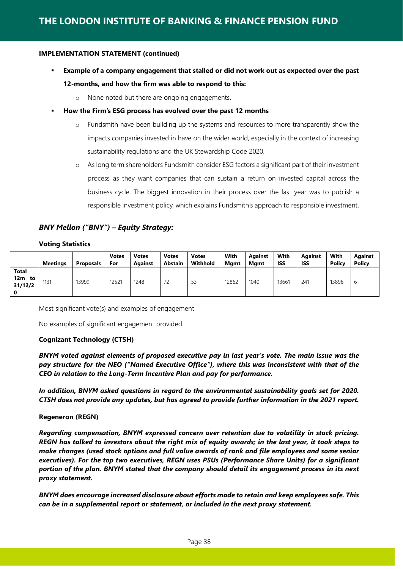- **Example of a company engagement that stalled or did not work out as expected over the past 12-months, and how the firm was able to respond to this:**
	- o None noted but there are ongoing engagements.
	- **How the Firm's ESG process has evolved over the past 12 months**
		- o Fundsmith have been building up the systems and resources to more transparently show the impacts companies invested in have on the wider world, especially in the context of increasing sustainability regulations and the UK Stewardship Code 2020.
		- o As long term shareholders Fundsmith consider ESG factors a significant part of their investment process as they want companies that can sustain a return on invested capital across the business cycle. The biggest innovation in their process over the last year was to publish a responsible investment policy, which explains Fundsmith's approach to responsible investment.

#### *BNY Mellon ("BNY") – Equity Strategy:*

#### **Voting Statistics**

|                                      | Meetinas | <b>Proposals</b> | <b>Votes</b><br>For | <b>Votes</b><br><b>Against</b> | <b>Votes</b><br><b>Abstain</b> | <b>Votes</b><br>Withhold | With<br><b>Mgmt</b> | <b>Against</b><br><b>Mamt</b> | With<br><b>ISS</b> | Against<br><b>ISS</b> | With<br>Policy | Against<br><b>Policy</b> |
|--------------------------------------|----------|------------------|---------------------|--------------------------------|--------------------------------|--------------------------|---------------------|-------------------------------|--------------------|-----------------------|----------------|--------------------------|
| <b>Total</b><br>12m<br>to<br>31/12/2 | 1131     | 13999            | 12521               | 1248                           | 70<br>$\sqrt{2}$               | 53                       | 12862               | 1040                          | 13661              | 241                   | 13896          | v                        |

Most significant vote(s) and examples of engagement

No examples of significant engagement provided.

#### **Cognizant Technology (CTSH)**

*BNYM voted against elements of proposed executive pay in last year's vote. The main issue was the pay structure for the NEO ("Named Executive Office"), where this was inconsistent with that of the CEO in relation to the Long-Term Incentive Plan and pay for performance.*

*In addition, BNYM asked questions in regard to the environmental sustainability goals set for 2020. CTSH does not provide any updates, but has agreed to provide further information in the 2021 report.*

#### **Regeneron (REGN)**

*Regarding compensation, BNYM expressed concern over retention due to volatility in stock pricing. REGN has talked to investors about the right mix of equity awards; in the last year, it took steps to make changes (used stock options and full value awards of rank and file employees and some senior executives). For the top two executives, REGN uses PSUs (Performance Share Units) for a significant portion of the plan. BNYM stated that the company should detail its engagement process in its next proxy statement.* 

*BNYM does encourage increased disclosure about efforts made to retain and keep employees safe. This can be in a supplemental report or statement, or included in the next proxy statement.*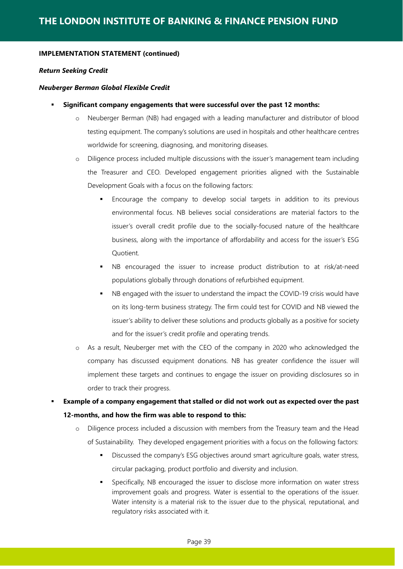#### *Return Seeking Credit*

#### *Neuberger Berman Global Flexible Credit*

- **Significant company engagements that were successful over the past 12 months:**
	- o Neuberger Berman (NB) had engaged with a leading manufacturer and distributor of blood testing equipment. The company's solutions are used in hospitals and other healthcare centres worldwide for screening, diagnosing, and monitoring diseases.
	- o Diligence process included multiple discussions with the issuer's management team including the Treasurer and CEO. Developed engagement priorities aligned with the Sustainable Development Goals with a focus on the following factors:
		- Encourage the company to develop social targets in addition to its previous environmental focus. NB believes social considerations are material factors to the issuer's overall credit profile due to the socially-focused nature of the healthcare business, along with the importance of affordability and access for the issuer's ESG Quotient.
		- NB encouraged the issuer to increase product distribution to at risk/at-need populations globally through donations of refurbished equipment.
		- NB engaged with the issuer to understand the impact the COVID-19 crisis would have on its long-term business strategy. The firm could test for COVID and NB viewed the issuer's ability to deliver these solutions and products globally as a positive for society and for the issuer's credit profile and operating trends.
	- o As a result, Neuberger met with the CEO of the company in 2020 who acknowledged the company has discussed equipment donations. NB has greater confidence the issuer will implement these targets and continues to engage the issuer on providing disclosures so in order to track their progress.

 **Example of a company engagement that stalled or did not work out as expected over the past 12-months, and how the firm was able to respond to this:**

- o Diligence process included a discussion with members from the Treasury team and the Head of Sustainability. They developed engagement priorities with a focus on the following factors:
	- Discussed the company's ESG objectives around smart agriculture goals, water stress, circular packaging, product portfolio and diversity and inclusion.
	- Specifically, NB encouraged the issuer to disclose more information on water stress improvement goals and progress. Water is essential to the operations of the issuer. Water intensity is a material risk to the issuer due to the physical, reputational, and regulatory risks associated with it.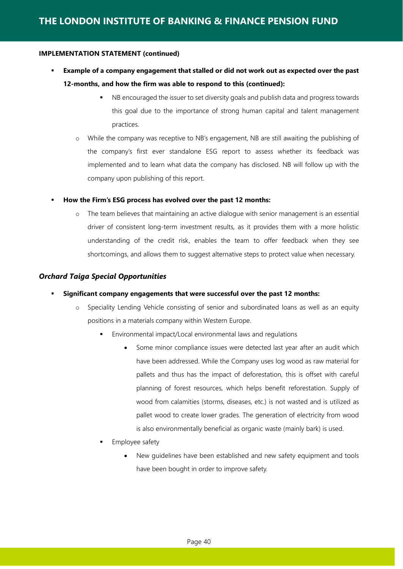- **Example of a company engagement that stalled or did not work out as expected over the past 12-months, and how the firm was able to respond to this (continued):**
	- NB encouraged the issuer to set diversity goals and publish data and progress towards this goal due to the importance of strong human capital and talent management practices.
	- o While the company was receptive to NB's engagement, NB are still awaiting the publishing of the company's first ever standalone ESG report to assess whether its feedback was implemented and to learn what data the company has disclosed. NB will follow up with the company upon publishing of this report.
- **How the Firm's ESG process has evolved over the past 12 months:**
	- o The team believes that maintaining an active dialogue with senior management is an essential driver of consistent long-term investment results, as it provides them with a more holistic understanding of the credit risk, enables the team to offer feedback when they see shortcomings, and allows them to suggest alternative steps to protect value when necessary.

#### *Orchard Taiga Special Opportunities*

- **Significant company engagements that were successful over the past 12 months:**
	- o Speciality Lending Vehicle consisting of senior and subordinated loans as well as an equity positions in a materials company within Western Europe.
		- Environmental impact/Local environmental laws and regulations
			- Some minor compliance issues were detected last year after an audit which have been addressed. While the Company uses log wood as raw material for pallets and thus has the impact of deforestation, this is offset with careful planning of forest resources, which helps benefit reforestation. Supply of wood from calamities (storms, diseases, etc.) is not wasted and is utilized as pallet wood to create lower grades. The generation of electricity from wood is also environmentally beneficial as organic waste (mainly bark) is used.
		- Employee safety
			- New guidelines have been established and new safety equipment and tools have been bought in order to improve safety.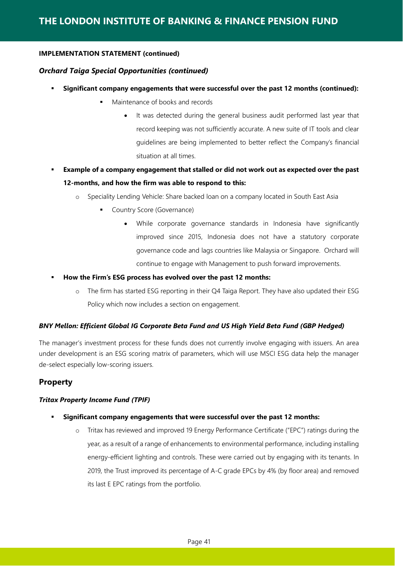#### *Orchard Taiga Special Opportunities (continued)*

- **Significant company engagements that were successful over the past 12 months (continued):**
	- Maintenance of books and records
		- It was detected during the general business audit performed last year that record keeping was not sufficiently accurate. A new suite of IT tools and clear guidelines are being implemented to better reflect the Company's financial situation at all times.
- **Example of a company engagement that stalled or did not work out as expected over the past 12-months, and how the firm was able to respond to this:**
	- o Speciality Lending Vehicle: Share backed loan on a company located in South East Asia
		- Country Score (Governance)
			- While corporate governance standards in Indonesia have significantly improved since 2015, Indonesia does not have a statutory corporate governance code and lags countries like Malaysia or Singapore. Orchard will continue to engage with Management to push forward improvements.
- **How the Firm's ESG process has evolved over the past 12 months:**
	- o The firm has started ESG reporting in their Q4 Taiga Report. They have also updated their ESG Policy which now includes a section on engagement.

#### *BNY Mellon: Efficient Global IG Corporate Beta Fund and US High Yield Beta Fund (GBP Hedged)*

The manager's investment process for these funds does not currently involve engaging with issuers. An area under development is an ESG scoring matrix of parameters, which will use MSCI ESG data help the manager de-select especially low-scoring issuers.

#### **Property**

#### *Tritax Property Income Fund (TPIF)*

- **Significant company engagements that were successful over the past 12 months:**
	- o Tritax has reviewed and improved 19 Energy Performance Certificate ("EPC") ratings during the year, as a result of a range of enhancements to environmental performance, including installing energy-efficient lighting and controls. These were carried out by engaging with its tenants. In 2019, the Trust improved its percentage of A-C grade EPCs by 4% (by floor area) and removed its last E EPC ratings from the portfolio.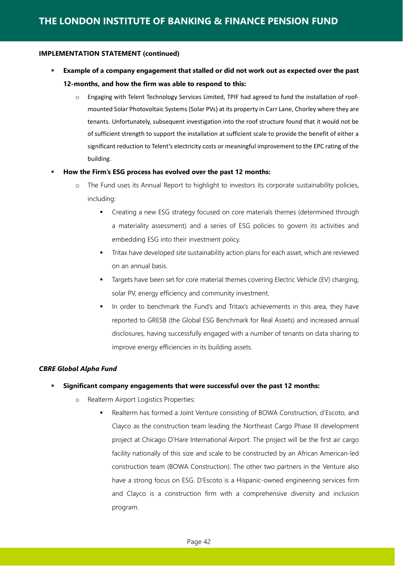- **Example of a company engagement that stalled or did not work out as expected over the past 12-months, and how the firm was able to respond to this:**
	- o Engaging with Telent Technology Services Limited, TPIF had agreed to fund the installation of roofmounted Solar Photovoltaic Systems (Solar PVs) at its property in Carr Lane, Chorley where they are tenants. Unfortunately, subsequent investigation into the roof structure found that it would not be of sufficient strength to support the installation at sufficient scale to provide the benefit of either a significant reduction to Telent's electricity costs or meaningful improvement to the EPC rating of the building.

#### **How the Firm's ESG process has evolved over the past 12 months:**

- o The Fund uses its Annual Report to highlight to investors its corporate sustainability policies, including:
	- Creating a new ESG strategy focused on core materials themes (determined through a materiality assessment) and a series of ESG policies to govern its activities and embedding ESG into their investment policy.
	- Tritax have developed site sustainability action plans for each asset, which are reviewed on an annual basis.
	- Targets have been set for core material themes covering Electric Vehicle (EV) charging, solar PV, energy efficiency and community investment.
	- In order to benchmark the Fund's and Tritax's achievements in this area, they have reported to GRESB (the Global ESG Benchmark for Real Assets) and increased annual disclosures, having successfully engaged with a number of tenants on data sharing to improve energy efficiencies in its building assets.

#### *CBRE Global Alpha Fund*

#### **Significant company engagements that were successful over the past 12 months:**

- o Realterm Airport Logistics Properties:
	- Realterm has formed a Joint Venture consisting of BOWA Construction, d'Escoto, and Clayco as the construction team leading the Northeast Cargo Phase III development project at Chicago O'Hare International Airport. The project will be the first air cargo facility nationally of this size and scale to be constructed by an African American-led construction team (BOWA Construction). The other two partners in the Venture also have a strong focus on ESG. D'Escoto is a Hispanic-owned engineering services firm and Clayco is a construction firm with a comprehensive diversity and inclusion program.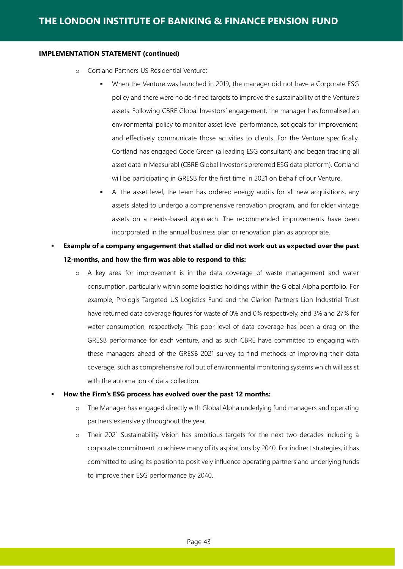- o Cortland Partners US Residential Venture:
	- When the Venture was launched in 2019, the manager did not have a Corporate ESG policy and there were no de-fined targets to improve the sustainability of the Venture's assets. Following CBRE Global Investors' engagement, the manager has formalised an environmental policy to monitor asset level performance, set goals for improvement, and effectively communicate those activities to clients. For the Venture specifically, Cortland has engaged Code Green (a leading ESG consultant) and began tracking all asset data in Measurabl (CBRE Global Investor's preferred ESG data platform). Cortland will be participating in GRESB for the first time in 2021 on behalf of our Venture.
	- At the asset level, the team has ordered energy audits for all new acquisitions, any assets slated to undergo a comprehensive renovation program, and for older vintage assets on a needs-based approach. The recommended improvements have been incorporated in the annual business plan or renovation plan as appropriate.
- **Example of a company engagement that stalled or did not work out as expected over the past 12-months, and how the firm was able to respond to this:**
	- o A key area for improvement is in the data coverage of waste management and water consumption, particularly within some logistics holdings within the Global Alpha portfolio. For example, Prologis Targeted US Logistics Fund and the Clarion Partners Lion Industrial Trust have returned data coverage figures for waste of 0% and 0% respectively, and 3% and 27% for water consumption, respectively. This poor level of data coverage has been a drag on the GRESB performance for each venture, and as such CBRE have committed to engaging with these managers ahead of the GRESB 2021 survey to find methods of improving their data coverage, such as comprehensive roll out of environmental monitoring systems which will assist with the automation of data collection.

#### **How the Firm's ESG process has evolved over the past 12 months:**

- o The Manager has engaged directly with Global Alpha underlying fund managers and operating partners extensively throughout the year.
- o Their 2021 Sustainability Vision has ambitious targets for the next two decades including a corporate commitment to achieve many of its aspirations by 2040. For indirect strategies, it has committed to using its position to positively influence operating partners and underlying funds to improve their ESG performance by 2040.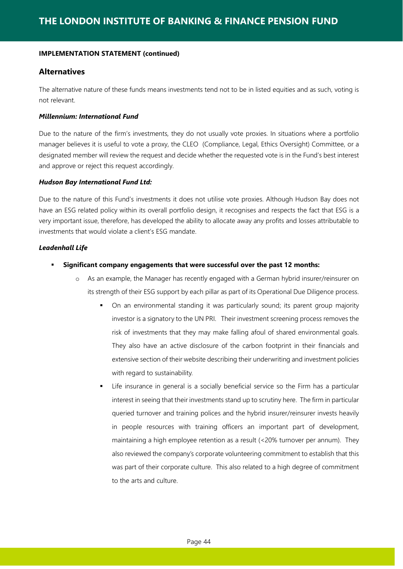#### **Alternatives**

The alternative nature of these funds means investments tend not to be in listed equities and as such, voting is not relevant.

#### *Millennium: International Fund*

Due to the nature of the firm's investments, they do not usually vote proxies. In situations where a portfolio manager believes it is useful to vote a proxy, the CLEO (Compliance, Legal, Ethics Oversight) Committee, or a designated member will review the request and decide whether the requested vote is in the Fund's best interest and approve or reject this request accordingly.

#### *Hudson Bay International Fund Ltd:*

Due to the nature of this Fund's investments it does not utilise vote proxies. Although Hudson Bay does not have an ESG related policy within its overall portfolio design, it recognises and respects the fact that ESG is a very important issue, therefore, has developed the ability to allocate away any profits and losses attributable to investments that would violate a client's ESG mandate.

#### *Leadenhall Life*

- **Significant company engagements that were successful over the past 12 months:**
	- o As an example, the Manager has recently engaged with a German hybrid insurer/reinsurer on its strength of their ESG support by each pillar as part of its Operational Due Diligence process.
		- On an environmental standing it was particularly sound; its parent group majority investor is a signatory to the UN PRI. Their investment screening process removes the risk of investments that they may make falling afoul of shared environmental goals. They also have an active disclosure of the carbon footprint in their financials and extensive section of their website describing their underwriting and investment policies with regard to sustainability.
		- Life insurance in general is a socially beneficial service so the Firm has a particular interest in seeing that their investments stand up to scrutiny here. The firm in particular queried turnover and training polices and the hybrid insurer/reinsurer invests heavily in people resources with training officers an important part of development, maintaining a high employee retention as a result (<20% turnover per annum). They also reviewed the company's corporate volunteering commitment to establish that this was part of their corporate culture. This also related to a high degree of commitment to the arts and culture.